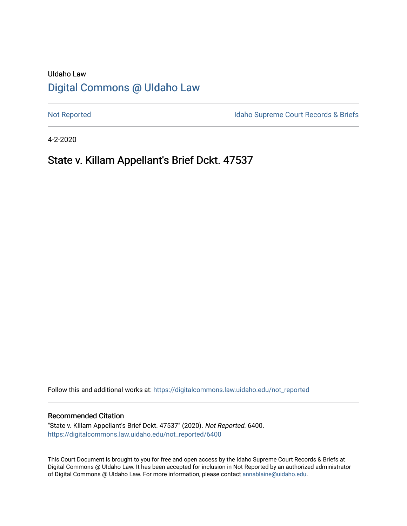# UIdaho Law [Digital Commons @ UIdaho Law](https://digitalcommons.law.uidaho.edu/)

[Not Reported](https://digitalcommons.law.uidaho.edu/not_reported) **Idaho Supreme Court Records & Briefs** 

4-2-2020

# State v. Killam Appellant's Brief Dckt. 47537

Follow this and additional works at: [https://digitalcommons.law.uidaho.edu/not\\_reported](https://digitalcommons.law.uidaho.edu/not_reported?utm_source=digitalcommons.law.uidaho.edu%2Fnot_reported%2F6400&utm_medium=PDF&utm_campaign=PDFCoverPages) 

#### Recommended Citation

"State v. Killam Appellant's Brief Dckt. 47537" (2020). Not Reported. 6400. [https://digitalcommons.law.uidaho.edu/not\\_reported/6400](https://digitalcommons.law.uidaho.edu/not_reported/6400?utm_source=digitalcommons.law.uidaho.edu%2Fnot_reported%2F6400&utm_medium=PDF&utm_campaign=PDFCoverPages)

This Court Document is brought to you for free and open access by the Idaho Supreme Court Records & Briefs at Digital Commons @ UIdaho Law. It has been accepted for inclusion in Not Reported by an authorized administrator of Digital Commons @ UIdaho Law. For more information, please contact [annablaine@uidaho.edu](mailto:annablaine@uidaho.edu).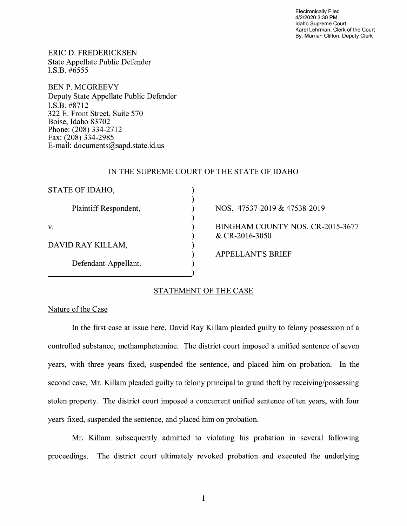Electronically Filed 4/2/2020 3:30 PM Idaho Supreme Court Karel Lehrman, Clerk of the Court By: Murriah Clifton, Deputy Clerk

ERIC D. FREDERICKSEN State Appellate Public Defender I.S.B. #6555

BEN P. MCGREEVY Deputy State Appellate Public Defender I.S.B. #8712 322 E. Front Street, Suite 570 Boise, Idaho 83702 Phone: (208) 334-2712 Fax: (208) 334-2985 E-mail: documents@sapd.state.id. us

#### IN THE SUPREME COURT OF THE STATE OF IDAHO

) ) ) ) ) ) ) ) )

| STATE OF IDAHO,       |
|-----------------------|
| Plaintiff-Respondent, |
| V.                    |
| DAVID RAY KILLAM,     |
| Defendant-Appellant.  |

NOS. 47537-2019 & 47538-2019

BINGHAM COUNTY NOS. CR-2015-3677 & CR-2016-3050

APPELLANT'S BRIEF

### STATEMENT OF THE CASE

Nature of the Case

In the first case at issue here, David Ray Killam pleaded guilty to felony possession of a controlled substance, methamphetamine. The district court imposed a unified sentence of seven years, with three years fixed, suspended the sentence, and placed him on probation. In the second case, Mr. Killam pleaded guilty to felony principal to grand theft by receiving/possessing stolen property. The district court imposed a concurrent unified sentence of ten years, with four years fixed, suspended the sentence, and placed him on probation.

Mr. Killam subsequently admitted to violating his probation in several following proceedings. The district court ultimately revoked probation and executed the underlying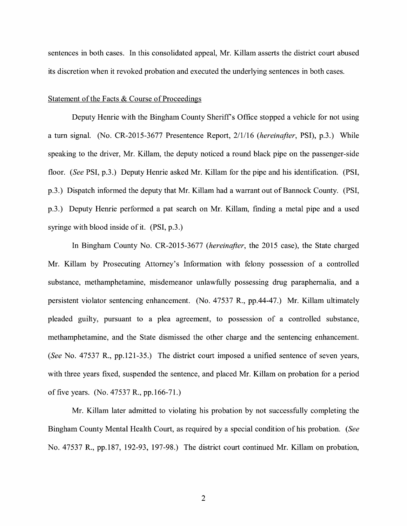sentences in both cases. In this consolidated appeal, Mr. Killam asserts the district court abused its discretion when it revoked probation and executed the underlying sentences in both cases.

#### Statement of the Facts & Course of Proceedings

Deputy Henrie with the Bingham County Sheriff's Office stopped a vehicle for not using a tum signal. (No. CR-2015-3677 Presentence Report, 2/1/16 *(hereinafter,* PSI), p.3.) While speaking to the driver, Mr. Killam, the deputy noticed a round black pipe on the passenger-side floor. *(See* PSI, p.3.) Deputy Henrie asked Mr. Killam for the pipe and his identification. (PSI, p.3.) Dispatch informed the deputy that Mr. Killam had a warrant out of Bannock County. (PSI, p.3.) Deputy Henrie performed a pat search on Mr. Killam, finding a metal pipe and a used syringe with blood inside of it. (PSI, p.3.)

In Bingham County No. CR-2015-3677 *(hereinafter,* the 2015 case), the State charged Mr. Killam by Prosecuting Attorney's Information with felony possession of a controlled substance, methamphetamine, misdemeanor unlawfully possessing drug paraphernalia, and a persistent violator sentencing enhancement. (No. 47537 R., pp.44-47.) Mr. Killam ultimately pleaded guilty, pursuant to a plea agreement, to possession of a controlled substance, methamphetamine, and the State dismissed the other charge and the sentencing enhancement. *(See* No. 47537 R., pp.121-35.) The district court imposed a unified sentence of seven years, with three years fixed, suspended the sentence, and placed Mr. Killam on probation for a period of five years. (No. 47537 R., pp.166-71.)

Mr. Killam later admitted to violating his probation by not successfully completing the Bingham County Mental Health Court, as required by a special condition of his probation. *(See*  No. 47537 R., pp.187, 192-93, 197-98.) The district court continued Mr. Killam on probation,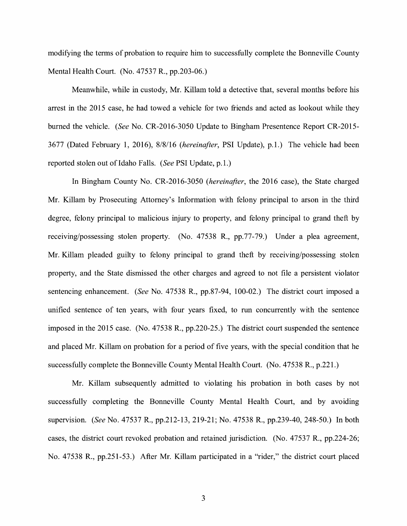modifying the terms of probation to require him to successfully complete the Bonneville County Mental Health Court. (No. 47537 R., pp.203-06.)

Meanwhile, while in custody, Mr. Killam told a detective that, several months before his arrest in the 2015 case, he had towed a vehicle for two friends and acted as lookout while they burned the vehicle. *(See* No. CR-2016-3050 Update to Bingham Presentence Report CR-2015- 3677 (Dated February 1, 2016), 8/8/16 *(hereinafter,* PSI Update), p.1.) The vehicle had been reported stolen out of Idaho Falls. *(See PSI Update, p.1.)* 

In Bingham County No. CR-2016-3050 *(hereinafter,* the 2016 case), the State charged Mr. Killam by Prosecuting Attorney's Information with felony principal to arson in the third degree, felony principal to malicious injury to property, and felony principal to grand theft by receiving/possessing stolen property. (No. 47538 R., pp.77-79.) Under a plea agreement, Mr. Killam pleaded guilty to felony principal to grand theft by receiving/possessing stolen property, and the State dismissed the other charges and agreed to not file a persistent violator sentencing enhancement. *(See* No. 47538 R., pp.87-94, 100-02.) The district court imposed a unified sentence of ten years, with four years fixed, to run concurrently with the sentence imposed in the 2015 case. (No. 47538 R., pp.220-25.) The district court suspended the sentence and placed Mr. Killam on probation for a period of five years, with the special condition that he successfully complete the Bonneville County Mental Health Court. (No. 47538 R., p.221.)

Mr. Killam subsequently admitted to violating his probation in both cases by not successfully completing the Bonneville County Mental Health Court, and by avoiding supervision. *(See No. 47537 R., pp.212-13, 219-21; No. 47538 R., pp.239-40, 248-50.)* In both cases, the district court revoked probation and retained jurisdiction. (No. 47537 R., pp.224-26; No. 47538 R., pp.251-53.) After Mr. Killam participated in a "rider," the district court placed

3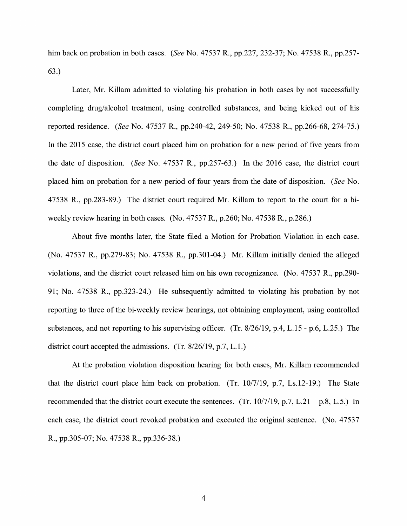him back on probation in both cases. *(See* No. 47537 R., pp.227, 232-37; No. 47538 R., pp.257- 63.)

Later, Mr. Killam admitted to violating his probation in both cases by not successfully completing drug/alcohol treatment, using controlled substances, and being kicked out of his reported residence. *(See* No. 47537 R., pp.240-42, 249-50; No. 47538 R., pp.266-68, 274-75.) In the 2015 case, the district court placed him on probation for a new period of five years from the date of disposition. *(See* No. 47537 R., pp.257-63.) In the 2016 case, the district court placed him on probation for a new period of four years from the date of disposition. *(See* No. 47538 R., pp.283-89.) The district court required Mr. Killam to report to the court for a biweekly review hearing in both cases. (No. 47537 R., p.260; No. 47538 R., p.286.)

About five months later, the State filed a Motion for Probation Violation in each case. (No. 47537 R., pp.279-83; No. 47538 R., pp.301-04.) Mr. Killam initially denied the alleged violations, and the district court released him on his own recognizance. (No. 47537 R., pp.290- 91; No. 47538 R., pp.323-24.) He subsequently admitted to violating his probation by not reporting to three of the bi-weekly review hearings, not obtaining employment, using controlled substances, and not reporting to his supervising officer. (Tr. 8/26/19, p.4, L.15 - p.6, L.25.) The district court accepted the admissions. (Tr.  $8/26/19$ , p.7, L.1.)

At the probation violation disposition hearing for both cases, Mr. Killam recommended that the district court place him back on probation. (Tr. 10/7/19, p.7, Ls.12-19.) The State recommended that the district court execute the sentences. (Tr.  $10/7/19$ , p.7, L.21 – p.8, L.5.) In each case, the district court revoked probation and executed the original sentence. (No. 47537 R., pp.305-07; No. 47538 R., pp.336-38.)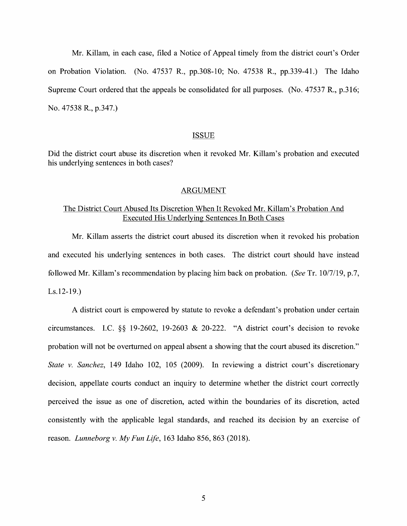Mr. Killam, in each case, filed a Notice of Appeal timely from the district court's Order on Probation Violation. (No. 47537 R., pp.308-10; No. 47538 R., pp.339-41.) The Idaho Supreme Court ordered that the appeals be consolidated for all purposes. (No. 47537 R., p.316; No. 47538 R., p.347.)

#### ISSUE

Did the district court abuse its discretion when it revoked Mr. Killam's probation and executed his underlying sentences in both cases?

#### ARGUMENT

### The District Court Abused Its Discretion When It Revoked Mr. Killam's Probation And Executed His Underlying Sentences In Both Cases

Mr. Killam asserts the district court abused its discretion when it revoked his probation and executed his underlying sentences in both cases. The district court should have instead followed Mr. Killam's recommendation by placing him back on probation. *(See* Tr. 10/7/19, p.7, Ls.12-19.)

A district court is empowered by statute to revoke a defendant's probation under certain circumstances. LC. §§ 19-2602, 19-2603 & 20-222. "A district court's decision to revoke probation will not be overturned on appeal absent a showing that the court abused its discretion." *State v. Sanchez,* 149 Idaho 102, 105 (2009). In reviewing a district court's discretionary decision, appellate courts conduct an inquiry to determine whether the district court correctly perceived the issue as one of discretion, acted within the boundaries of its discretion, acted consistently with the applicable legal standards, and reached its decision by an exercise of reason. *Lunneborg v. My Fun Life,* 163 Idaho 856, 863 (2018).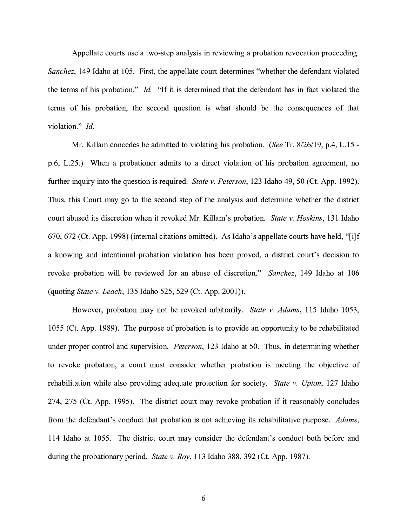Appellate courts use a two-step analysis in reviewing a probation revocation proceeding. *Sanchez,* 149 Idaho at 105. First, the appellate court determines "whether the defendant violated the terms of his probation." *Id.* "If it is determined that the defendant has in fact violated the terms of his probation, the second question is what should be the consequences of that violation." *Id.* 

Mr. Killam concedes he admitted to violating his probation. *(See* Tr. 8/26/19, p.4, L.15 p.6, L.25.) When a probationer admits to a direct violation of his probation agreement, no further inquiry into the question is required. *State v. Peterson,* 123 Idaho 49, 50 (Ct. App. 1992). Thus, this Court may go to the second step of the analysis and determine whether the district court abused its discretion when it revoked Mr. Killam's probation. *State v. Hoskins,* 131 Idaho 670, 672 (Ct. App. 1998) (internal citations omitted). As Idaho's appellate courts have held, "[i]f a knowing and intentional probation violation has been proved, a district court's decision to revoke probation will be reviewed for an abuse of discretion." *Sanchez,* 149 Idaho at 106 (quoting *State v. Leach,* 135 Idaho 525, 529 (Ct. App. 2001)).

However, probation may not be revoked arbitrarily. *State v. Adams,* 115 Idaho 1053, 1055 (Ct. App. 1989). The purpose of probation is to provide an opportunity to be rehabilitated under proper control and supervision. *Peterson,* 123 Idaho at 50. Thus, in determining whether to revoke probation, a court must consider whether probation is meeting the objective of rehabilitation while also providing adequate protection for society. *State v. Upton,* 127 Idaho 274, 275 (Ct. App. 1995). The district court may revoke probation if it reasonably concludes from the defendant's conduct that probation is not achieving its rehabilitative purpose. *Adams,*  114 Idaho at 1055. The district court may consider the defendant's conduct both before and during the probationary period. *State v. Roy,* 113 Idaho 388, 392 (Ct. App. 1987).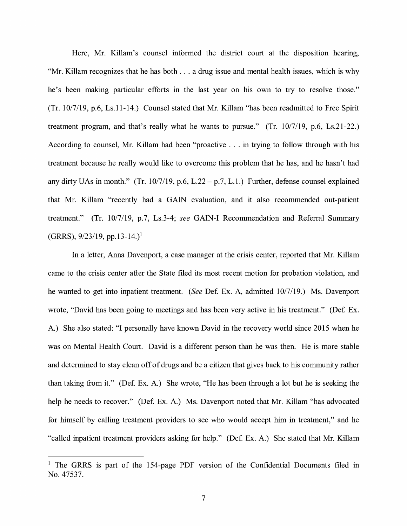Here, Mr. Killam's counsel informed the district court at the disposition hearing, "Mr. Killam recognizes that he has both ... a drug issue and mental health issues, which is why he's been making particular efforts in the last year on his own to try to resolve those." (Tr. 10/7/19, p.6, Ls.11-14.) Counsel stated that Mr. Killam "has been readmitted to Free Spirit treatment program, and that's really what he wants to pursue." (Tr. 10/7/19, p.6, Ls.21-22.) According to counsel, Mr. Killam had been "proactive ... in trying to follow through with his treatment because he really would like to overcome this problem that he has, and he hasn't had any dirty UAs in month." (Tr. 10/7/19, p.6, L.22 – p.7, L.1.) Further, defense counsel explained that Mr. Killam "recently had a GAIN evaluation, and it also recommended out-patient treatment." (Tr. 10/7/19, p.7, Ls.3-4; *see* GAIN-I Recommendation and Referral Summary  $(GRRS), 9/23/19, pp.13-14.$ <sup>1</sup>

In a letter, Anna Davenport, a case manager at the crisis center, reported that Mr. Killam came to the crisis center after the State filed its most recent motion for probation violation, and he wanted to get into inpatient treatment. (See Def. Ex. A, admitted 10/7/19.) Ms. Davenport wrote, "David has been going to meetings and has been very active in his treatment." (Def. Ex. A.) She also stated: "I personally have known David in the recovery world since 2015 when he was on Mental Health Court. David is a different person than he was then. He is more stable and determined to stay clean off of drugs and be a citizen that gives back to his community rather than taking from it." (Def. Ex. A.) She wrote, "He has been through a lot but he is seeking the help he needs to recover." (Def. Ex. A.) Ms. Davenport noted that Mr. Killam "has advocated for himself by calling treatment providers to see who would accept him in treatment," and he "called inpatient treatment providers asking for help." (Def. Ex. A.) She stated that Mr. Killam

<sup>&</sup>lt;sup>1</sup> The GRRS is part of the 154-page PDF version of the Confidential Documents filed in No. 47537.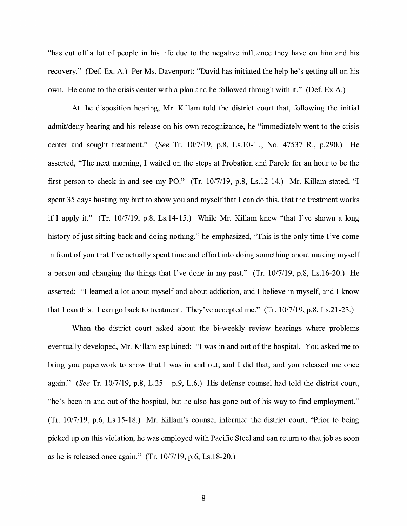"has cut off a lot of people in his life due to the negative influence they have on him and his recovery." (Def. Ex. A.) Per Ms. Davenport: "David has initiated the help he's getting all on his own. He came to the crisis center with a plan and he followed through with it." (Def. Ex A.)

At the disposition hearing, Mr. Killam told the district court that, following the initial admit/deny hearing and his release on his own recognizance, he "immediately went to the crisis center and sought treatment." *(See* Tr. 10/7/19, p.8, Ls.10-11; No. 47537 R., p.290.) He asserted, "The next morning, I waited on the steps at Probation and Parole for an hour to be the first person to check in and see my PO." (Tr. 10/7/19, p.8, Ls.12-14.) Mr. Killam stated, "I spent 35 days busting my butt to show you and myself that I can do this, that the treatment works if I apply it." (Tr. 10/7/19, p.8, Ls.14-15.) While Mr. Killam knew "that I've shown a long history of just sitting back and doing nothing," he emphasized, "This is the only time I've come in front of you that I've actually spent time and effort into doing something about making myself a person and changing the things that I've done in my past." (Tr. 10/7/19, p.8, Ls.16-20.) He asserted: "I learned a lot about myself and about addiction, and I believe in myself, and I know that I can this. I can go back to treatment. They've accepted me." (Tr. 10/7/19, p.8, Ls.21-23.)

When the district court asked about the bi-weekly review hearings where problems eventually developed, Mr. Killam explained: "I was in and out of the hospital. You asked me to bring you paperwork to show that I was in and out, and I did that, and you released me once again." *(See* Tr. 10/7/19, p.8, L.25 - p.9, L.6.) His defense counsel had told the district court, "he's been in and out of the hospital, but he also has gone out of his way to fmd employment." (Tr. 10/7/19, p.6, Ls.15-18.) Mr. Killam's counsel informed the district court, "Prior to being picked up on this violation, he was employed with Pacific Steel and can return to that job as soon as he is released once again." (Tr. 10/7/19, p.6, Ls.18-20.)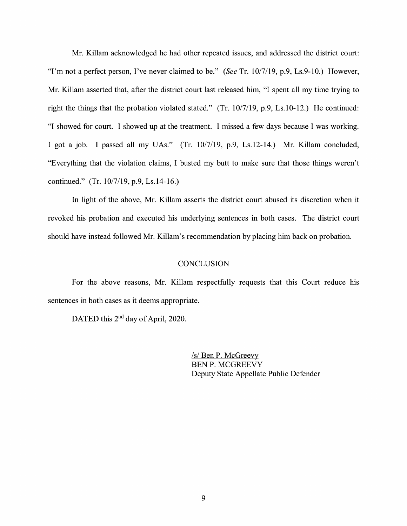Mr. Killam acknowledged he had other repeated issues, and addressed the district court: "I'm not a perfect person, I've never claimed to be." *(See* Tr. 10/7119, p.9, Ls.9-10.) However, Mr. Killam asserted that, after the district court last released him, "I spent all my time trying to right the things that the probation violated stated." (Tr. 10/7119, p.9, Ls.10-12.) He continued: "I showed for court. I showed up at the treatment. I missed a few days because I was working. I got a job. I passed all my UAs." (Tr. 10/7/19, p.9, Ls.12-14.) Mr. Killam concluded, "Everything that the violation claims, I busted my butt to make sure that those things weren't continued." (Tr. 10/7119, p.9, Ls.14-16.)

In light of the above, Mr. Killam asserts the district court abused its discretion when it revoked his probation and executed his underlying sentences in both cases. The district court should have instead followed Mr. Killam's recommendation by placing him back on probation.

#### **CONCLUSION**

For the above reasons, Mr. Killam respectfully requests that this Court reduce his sentences in both cases as it deems appropriate.

DATED this 2<sup>nd</sup> day of April, 2020.

*Isl* Ben P. McGreevy BEN P. MCGREEVY Deputy State Appellate Public Defender